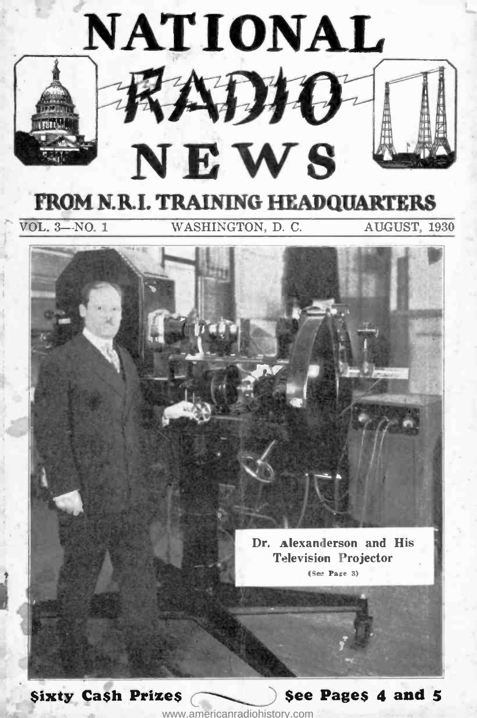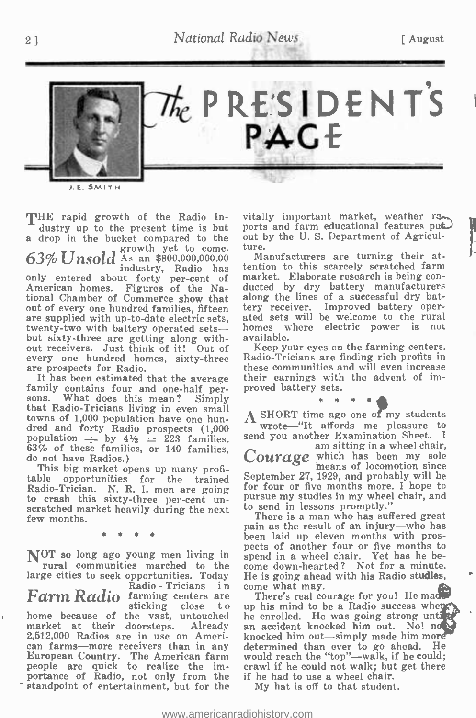2 ] National Radio News [August]



SMITH

THE rapid growth of the Radio In-<br>dustry up to the present time is but a drop in the bucket compared to the 63% Unsold As an \$800,000,000.00 industry, Radio has only entered about forty per -cent of American homes. Figures of the National Chamber of Commerce show that out of every one hundred families, fifteen are supplied with up-to-date electric sets, and sets w<br>twenty-two with battery operated sets—<br>but sixty three are getting along with available twenty-two with battery operated sets—<br>but sixty-three are getting along without receivers. Just think of it! Out of every one hundred homes, sixty-three are prospects for Radio.

family contains four and one-half per-<br>sons. What does this mean? Simply<br>that Radio-Tricians living in even small towns of 1,000 population have one hundred and forty Radio prospects (1,000 wrote—"It affords me pleasure to population  $\div$  by  $4\frac{1}{2} = 223$  families. send you another Examination Sheet. I  $63\%$  of these families, or 140 families, do not have Radios.)

do not have Radios.)<br>This big market opens up many profi-<br>table opportunities for the trained Radio -Trician. N. R. I. men are going to crash this sixty -three per -cent unto crash this sixty-three per-cent un-<br>scratched market heavily during the next to send in lessons promptly."<br>few months few months few months.

\* \* \*

NOT so long ago young men living in spend in a wheel chair. Yet has he be-<br>rural communities marched to the come down-hearted? Not for a minute. <sup>\*</sup> rural communities marched to the come down-hearted? Not for a minute.<br>large cities to seek opportunities. Today He is going ahead with his Radio stu**dies**,

Radio - Tricians in come what may.<br> **Farm Radio** farming centers are There's real co<br>
sticking close to up his mind to b home because of the vast, untouched he enrolled. He was going stromarket at their doorsteps. Already an accident knocked him out. market at their doorsteps. Already an <br>2,512,000 Radios are in use on Ameri- know<br>can farms—more receivers than in any det<br>European Country. The American farm wo people are quick to realize the importance of Radio, not only from the if I standpoint of entertainment, but for the

vitally important market, weather reports and farm educational features put. out by the U. S. Department of Agriculture.

Manufacturers are turning their attention to this scarcely scratched farm market. Elaborate research is being con- ducted by dry battery manufacturers along the lines of a successful dry battery receiver. Improved battery operated sets will be welcome to the rural<br>homes where electric power is not where electric power is not available.

Keep your eyes on the farming centers. Radio -Tricians are finding rich profits in these communities and will even increase their earnings with the advent of improved battery sets.

 $*$  \* \* \*  $*$ <br>  $\overrightarrow{A}$  SHORT time ago one of my students<br>
wrote—"It affords me pleasure to<br>
send  $\overrightarrow{A}$  and the Examination Sheet **Subsequentially 19** wrote the send you another Examination Sheet. I am sitting in a wheel chair,<br>Courage which has been my sole means of locomotion since September 27, 1929, and probably will be for four or five months more. I hope to pursue my studies in my wheel chair, and

pain as the result of an injury—who has been laid up eleven months with prospects of another four or five months to spend in a wheel chair. Yet has he be-<br>come down-hearted? Not for a minute.

There's real courage for you! He made up his mind to be a Radio success when the enrolled. He was going strong until  $\mathbb{R}$ <br>an accident knocked him out. No! not knocked him out -simply made him more determined than ever to go ahead. He would reach the "top"—walk, if he could; crawl if he could not walk; but get there if he had to use a wheel chair.

My hat is off to that student.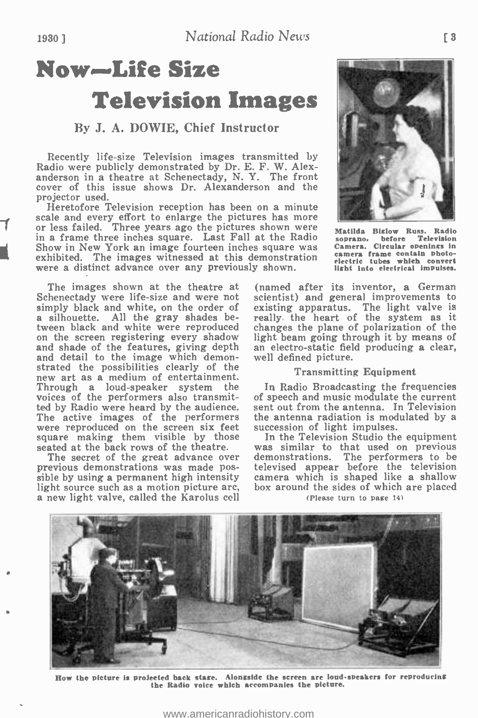# Now-Life Size Television Images

#### By J. A. DOWIE, Chief Instructor

Recently life-size Television images transmitted by Radio were publicly demonstrated by Dr. E. F. W. Alexanderson in a theatre at Schenectady, N. Y. The front cover of this issue shows Dr. Alexanderson and the projector used.

scale and every effort to enlarge the pictures has more<br>
or less failed. Three years ago the pictures shown were  $_{\text{M}_{\text{A}}}$ Heretofore Television reception has been on a minute or less failed. Three years ago the pictures shown were  $\overline{M}$ in a frame three inches square. Last Fall at the Radio Show in New York an image fourteen inches square was Camera. Circular openings in cultivity of the images witnessed at this demonstration camera frame contain photoexhibited. The images witnessed at this demonstration camera frame consain photowere a distinct advance over any previously shown.

The images shown at the theatre at Schenectady were life-size and were not simply black and white, on the order of a silhouette. All the gray shades between black and white were reproduced changes the plane of polarization of the on the screen registering every shadow light beam going through it by means of and shade of the features, giving depth an electro-static field and shade of the features, giving depth and detail to the image which demon-<br>strated the possibilities clearly of the new art as a medium of entertainment. Through a loud-speaker system the I voices of the performers also transmitted by Radio were heard by the audience. sent out from the antenna. In Television The active images of the performers the antenna radiation is modulated by a were reproduced on the screen six feet succession of light impulses. square making them visible by those

The secret of the great advance over previous demonstrations was made pos-<br>sible by using a permanent high intensity light source such as a motion picture arc, a new light valve, called the Karolus cell

re a control of the state of the



Matilda Biglow Russ. Radio soprano. before Television Camera. Circular openings in camera frame contain photo- electric tubes which convert light Into electrical impulses.

(named after its inventor, a German scientist) and general improvements to existing apparatus. The light valve is really the heart of the system as it changes the plane of polarization of the light beam going through it by means of well defined picture.

#### Transmitting Equipment

In Radio Broadcasting the frequencies of speech and music modulate the current sent out from the antenna. In Television

seated at the back rows of the theatre. was similar to that used on previous<br>The secret of the great advance over demonstrations. The performers to be In the Television Studio the equipment was similar to that used on previous televised appear before the television camera which is shaped like a shallow box around the sides of which are placed

(Please turn to page 14)



How the picture is projected back stage. Alongside the screen are loud-speakers for reproducing the Radio voice which accompanies the picture.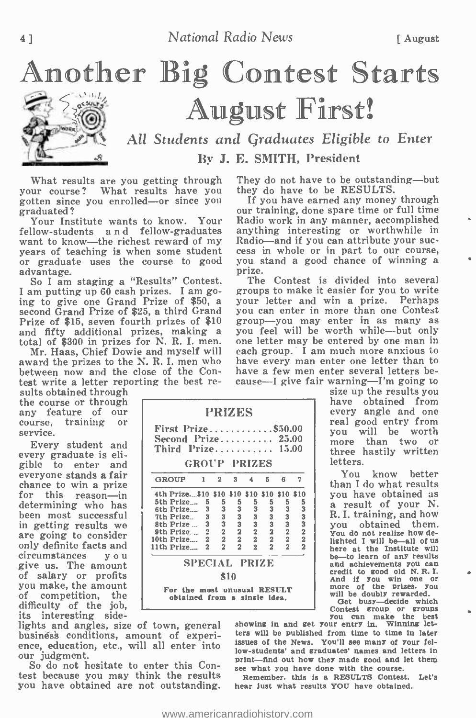

Another Big Contest Starts August First! All Students and Graduates Eligible to Enter

By J. E. SMITH, President

What results are you getting through your course? What results have you they do have to be RESULTS.<br>gotten since you enrolled—or since you If you have earned any money through gotten since you enrolled—or since you graduated?

fellow-students and fellow-graduates anything interesting or worthwhile in want to know—the richest reward of my Radio—and if you can attribute your sucwant to know—the richest reward of my years of teaching is when some student or graduate uses the course to good you s<br>advantage advantage.

So I am staging a "Results" Contest. I am putting up 60 cash prizes. I am going to give one Grand Prize of \$50, a second Grand Prize of \$25, a third Grand Prize of \$15, seven fourth prizes of \$10

award the prizes to the N. R. I. men who between now and the close of the Contest write a letter reporting the best re-

the course or through<br>any feature of our<br>course, training or<br>service.

Every student and every graduate is eligible to enter and everyone stands a fair for this reason—in  $\begin{array}{|l|c|c|c|c|} \hline \end{array}$  for the prize formulation  $\begin{array}{|l|c|c|c|c|} \hline \end{array}$  for Prize  $\begin{array}{|l|c|c|c|c|} \hline \end{array}$  for Prize  $\begin{array}{|l|c|c|c|c|} \hline \end{array}$ determining who has stated the Prize... been most successful  $\frac{m}{10}$  in Prize... are going to consider  $\begin{array}{|c|c|} \hline \end{array}$  sth Prize... only definite facts and  $\begin{array}{c|c}\n\text{int } \text{Prize...} \\
\text{circumstances} \\
\end{array}$ give us. The amount of salary or profits you make, the amount of competition, the difficulty of the job,<br>its interesting side-<br>lights and angles, size of town, general

business conditions, amount of experience, education, etc., will all enter into our judgment.

So do not hesitate to enter this Con-So do not hesitate to enter this Con-<br>test because you may think the results Remember, this is a RESULTS Contest. you have obtained are not outstanding.

They do not have to be outstanding—but they do have to be RESULTS.

Your Institute wants to know. Your Radio work in any manner, accomplished our training, done spare time or full time anything interesting or worthwhile in cess in whole or in part to our course, you stand a good chance of winning a

and fifty additional prizes, making a you feel will be worth while—but only total of \$300 in prizes for N. R. I. men. one letter may be entered by one man in Mr. Haas, Chief Dowie and myself will each group. I am much more The Contest is divided into several groups to make it easier for you to write your letter and win a prize. Perhaps you can enter in more than one Contest group—you may enter in as many as you feel will be worth while—but only each group. I am much more anxious to have every man enter one letter than to have a few men enter several letters because—I give fair warning—I'm going to<br>size up the results you

size up the results you<br>have obtained from every angle and one<br>real good entry from real good entry from<br>you will be worth<br>more than two or three hastily written letters.

You know better than I do what results<br>you have obtained as a result of your N. R. I. training, and how<br>you obtained them. obtained them. You do not realize how de-<br>lighted I will be—all of us here at the Institute will be-to learn of any results and achievements you can credit to good old N. R. I. And if you win one or<br>more of the prizes, you<br>will be doubly rewarded.<br>Get busy—decide which

Single dea.<br>
Single deal.<br>
The doubly rewarded.<br>
Centest group or groups<br>
you can make the best<br>
showing in and get your entry in. Winning letters will be published from time to time in later issues of the News. You'll see many of your fellow- students' and graduates' names and letters in print—find out how they made good and let them<br>see what you have done with the course.<br>Remember, this is a RESULTS Contest. Let's

hear just what results YOU have obtained.

<www.americanradiohistory.com>

PRIZES  $First Prize...$ ......... \$50.00 Second Prize.........  $25.00$ Third  $Prie$ ..........  $15.00$ GROUP PRIZES GROUP 1 2 3 4 5 8 7 4th Prize...\$10 \$10 \$10 \$10 \$10 \$10<br>5th Prize... 5 5 5 5 5 5 5

5th Prize.... 5 5 5 5 5 5 5<br>
7th Prize... 3 3 3 3 3 3 3<br>
8th Prize... 3 3 3 3 3 3 3<br>
9th Prize... 2 2 2 2 2 2 2<br>
9th Prize... 2 2 2 2 2 2<br>
11th Prize... 2 2 2 2 2 2<br>
11th Prize... 2 2 2 2 2 2

SPECIAL PRIZE \$10 For the most unusual RESULT obtained from a single idea.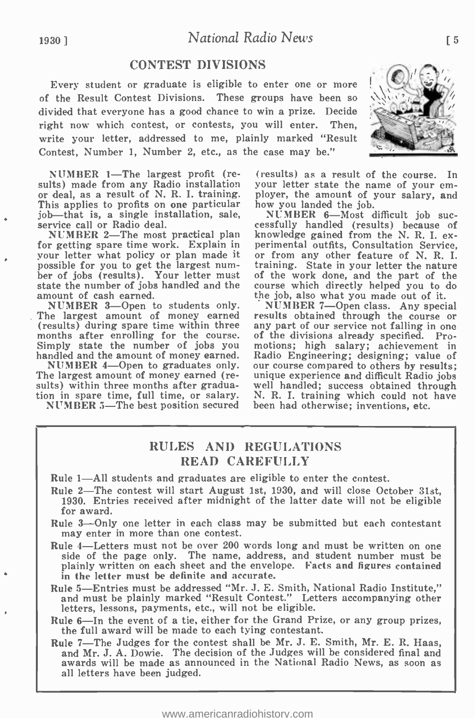## 1930) National Radio News

## CONTEST DIVISIONS

Every student or graduate is eligible to enter one or more of the Result Contest Divisions. These groups have been so divided that everyone has a good chance to win a prize. Decide right now which contest, or contests, you will enter. Then, write your letter, addressed to me, plainly marked "Result Contest, Number 1, Number 2, etc., as the case may be."

NUMBER 1-The largest profit (re-<br>sults) made from any Radio installation or deal, as a result of N. R. I. training. ployer, the amount of your salary, and<br>This applies to profits on one particular how you landed the job. This applies to profits on one particular how you landed the job.<br>job—that is, a single installation, sale, MUMBER 6—Most difficult job sucjob-that is, a single installation, sale, service call or Radio deal.

your letter what policy or plan made it<br>possible for you to get the largest number of jobs (results). Your letter must state the number of jobs handled and the amount of cash earned.

The largest amount of money earned (results) during spare time within three any part of our service not falling in one months after enrolling for the course. of the divisions already specified. Pro-

NUMBER 4—Open to graduates only. our course compared to others by results;<br>The largest amount of money earned (re- unique experience and difficult Radio jobs

respectively. (results) as a result of the course. In your letter state the name of your em-

NUMBER 2—The most practical plan knowledge gained from the N. R. I. expression results and the W. R. I. explain in perimental outfits, Consultation Service, how you landed the job.<br>NUMBER 6—Most difficult job suc-<br>cessfully handled (results) because of knowledge gained from the N. R. I. ex-<br>perimental outfits, Consultation Service, or from any other feature of N. R. I. training. State in your letter the nature of the work done, and the part of the course which directly helped you to do the job, also what you made out of it.

NUMBER 3-Open to students only. NUMBER 7-Open class. Any special<br>he largest amount of money earned results obtained through the course or Simply state the number of jobs you motions; high salary; achievement in handled and the amount of money earned. Radio Engineering; designing; value of NUMBER 4—Open to graduates only. our course compared to others by resu sults) within three months after gradua- well handled; success obtained through<br>tion in spare time, full time, or salary. N. R. I. training which could not have<br>NUMBER 5—The best position secured been had otherwise; invent NUMBER 7-Open class. Any special any part of our service not falling in one motions; high salary; achievement in Radio Engineering; designing; value of N. R. I. training which could not have been had otherwise; inventions, etc.

#### RULES AND REGULATIONS READ CAREFULLY

Rule 1—All students and graduates are eligible to enter the contest.

- Rule 2-The contest will start August 1st, 1930, and will close October 31st. 1930. Entries received after midnight of the latter date will not be eligible for award.
- Rule 3—Only one letter in each class may be submitted but each contestant may enter in more than one contest.
- Rule 4- Letters must not be over 200 words long and must be written on one side of the page only. The name, address, and student number must be plainly written on each sheet and the envelope. Facts and figures contained in the letter must be definite and accurate.
- Rule 5- Entries must be addressed "Mr. J. E. Smith, National Radio Institute," and must be plainly marked "Result Contest." Letters accompanying other letters, lessons, payments, etc., will not be eligible.
- Rule 6-In the event of a tie, either for the Grand Prize, or any group prizes, the full award will be made to each tying contestant.
- Rule 7—The Judges for the contest shall be Mr. J. E. Smith, Mr. E. R. Haas, and Mr. J. A. Dowie. The decision of the Judges will be considered final and awards will be made as announced in the National Radio News, as soon as<br>all letters have been judged.

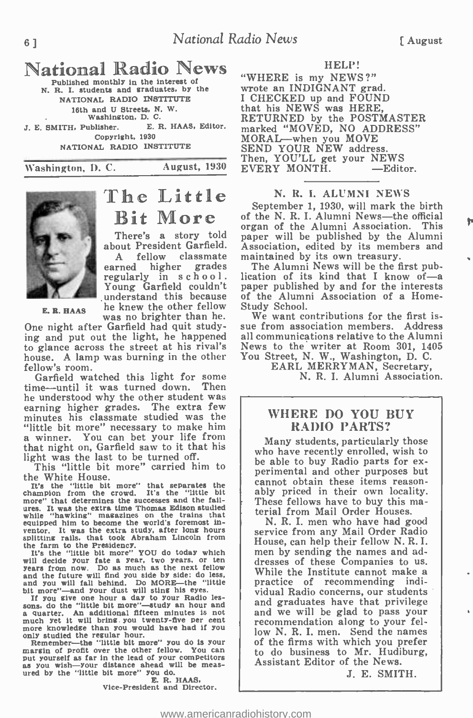# National Radio News

N. R. I. students and graduates, by the NATIONAL RADIO INSTITUTE 16th and U Streets, N. W.<br>Washington, D. C.<br>T. Publisher. E. R. HAAS, Editor. J. E. SMITH, Publisher. Copyright, 1930 NATIONAL RADIO INSTITUTE



# Bit More There's a story told

The Little

E. B. HAAS he knew the other fellow A fellow classmate maintained by its own treasury.<br>earned higher grades The Alumni News will be the first pubregularly in school. Young Garfield couldn't understand this because of the Alumn<br>he knew the other fellow Study School. was no brighter than he.

One night after Garfield had quit studying and put out the light, he happened to glance across the street at his rival's house. A lamp was burning in the other

Garfield watched this light for some<br>time—until it was turned down. Then he understood why the other student was earning higher grades. The extra few minutes his classmate studied was the "little bit more" necessary to make him a winner. You can bet your life from that night on, Garfield saw to it that his light was the last to be turned off.

This "little bit more" carried him to the White House.

It's the "little bit more" that separates the champion from the crowd. Its the "little bit more" that determines the successes and the fail-<br>ures. It was the extra time Thomas Edison studied<br>while "hawking" magazines on the trains that equipped him to become the world's foremost inventor. It was the extra study, after long hours splitting rails, that took Abraham Lincoln from

the farm to the Presidency.<br>It's the "little bit more" YOU do today which<br>will decide your fate a year, two years, or ten years from now. Do as much as the next fellow and the future will find you side by side; do less,

and you will fall behind. Do MORE—the "little<br>bit more"—and your dust will sting his eyes.<br>If you give one hour a day to your Radio les-<br>sons, do the "little bit more"—study an hour and<br>a quarter. An additional fifteen min

much yet it will bring you twenty-five per cent<br>much yet it will bring you would have had if you<br>only studied the resular hour.<br>Remember—the "little bit more" you do is your<br>margin of profit over the other fellow. You can<br>

**E. R. HAAS.**<br>Vice-President and Director.

#### HELP!

Washington, D. C. August, 1930 EVERY MONTH. "WHERE is my NEWS ?" wrote an INDIGNANT grad. I CHECKED up and FOUND that his NEWS was HERE, RETURNED by the POSTMASTER marked "MOVED, NO ADDRESS"<br>MORAL—when you MOVE<br>SEND YOUR NEW address.<br>Then, YOU'LL get your NEWS<br>EVERY MONTH. ——Editor.

#### N. R. I. ALUMNI NEWS

about President Garfield. Association, edited by its member  $A$  fellow classmate maintained by its own treasury. September 1, 1930, will mark the birth of the N. R. I. Alumni News-the official organ of the Alumni Association. This paper will be published by the Alumni Association, edited by its members and

lication of its kind that I know of  $-a$ paper published by and for the interests of the Alumni Association of a Home-<br>Study School.<br>We want contributions for the first is-

sue from association members. Address all communications relative to the Alumni News to the writer at Room 301, 1405 You Street, N. W., Washington, D. C.

EARL MERRYMAN, Secretary, N. R. I. Alumni Association.

#### WHERE DO YOU BUY RADIO PARTS?

Many students, particularly those who have recently enrolled, wish to<br>be able to buy Radio parts for experimental and other purposes but cannot obtain these items reasonably priced in their own locality. These fellows have to buy this ma-<br>terial from Mail Order Houses.<br>N. R. I. men who have had good

service from any Mail Order Radio<br>House, can help their fellow N.R.I. men by sending the names and addresses of these Companies to us. While the Institute cannot make a practice of recommending individual Radio concerns, our students<br>and graduates have that privilege and we will be glad to pass your<br>recommendation along to your fellow N. R. I. men. Send the names of the firms with which you prefer to do business to Mr. Hudiburg, Assistant Editor of the News.

J. E. SMITH.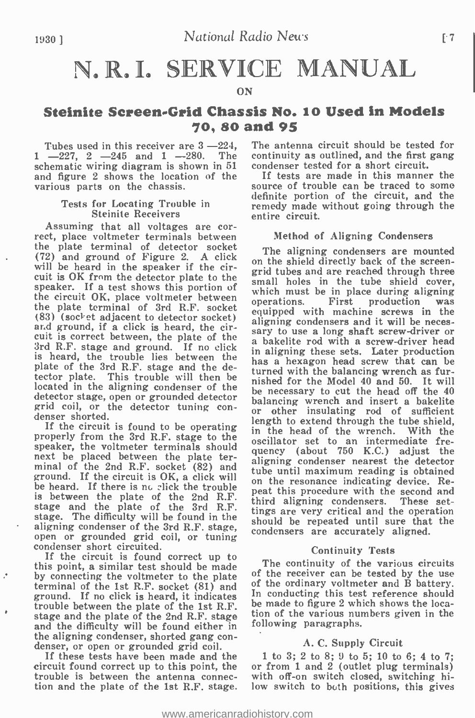# N.R.I. SERVICE MANUAL

#### ON

## Steinite Screen-Grid Chassis No. 10 Used in Models 70, 80 and 95

Tubes used in this receiver are  $3 - 224$ .  $1 -227$ ,  $2 -245$  and  $1 -280$ . The continuity as outlined, and the first schematic wiring diagram is shown in 51 condenser tested for a short circuit. schematic wiring diagram is shown in 51 and figure 2 shows the location of the If tests are made in this manner the various parts on the chassis.

#### Tests for Locating Trouble in Steinite Receivers

Assuming that all voltages are cor- rect, place voltmeter terminals between the plate terminal of detector socket The aligning condensers are mounted (72) and ground of Figure 2. A click<br>on the shield directly back of the screenwill be heard in the speaker if the circuit is OK from the detector plate to the<br>speaker. If a test shows this portion of<br>which must be in place during aligning speaker. If a test shows this portion of  $\frac{\text{sm}}{\text{wh}}$ the circuit OK, place voltmeter between  $_{0.0}^{\text{W1}}$ the plate terminal of 3rd R.F. socket and ground, if a click is heard, the cirand ground, if a click is heard, the cir-<br>cuit is correct between, the plate of the a bakelite rod with a screw-driver head 3rd R.F. stage and ground. If no click  $\frac{a}{\ln a}$  is heard, the trouble lies between the  $\frac{a}{\ln a}$ plate of the 3rd R.F. stage and the detector plate. This trouble will then be  $\frac{du}{dt}$ located in the aligning condenser of the  $\frac{1}{h}$ detector stage, open or grounded detector grid coil, or the detector tuning con- denser shorted.

If the circuit is found to be operating properly from the 3rd R.F. stage to the speaker, the voltmeter terminals should next be placed between the plate terminal of the 2nd R.F. socket (82) and all maximum reading is obtained ground. If the circuit is OK, a click will be heard. If there is no click the trouble is between the plate of the 2nd R.F.  $\frac{\text{pres}}{\text{thin}}$  the plate of the 3rd R.F.  $\frac{\text{thin}}{\text{thin}}$ stage. The difficulty will be found in the  $\frac{1}{2}$ aligning condenser of the 3rd R.F. stage,  $\frac{5\pi}{60}$ open or grounded grid coil, or tuning condenser short circuited.

condenser short circuited.<br>If the circuit is found correct up to this point, a similar test should be made The continuity of the various circuits<br>by connecting the voltmeter to the plate of the receiver can be tested by the use by connecting the voltmeter to the plate of the receiver can be tested by the use terminal of the 1st R.F. socket (81) and  $\sigma$  of the ordinary voltmeter and B battery. ground. If no click is heard, it indicates trouble between the plate of the 1st R.F. and the difficulty will be found either in the aligning condenser, shorted gang con- denser, or open or grounded grid coil.

If these tests have been made and the circuit found correct up to this point, the  $\alpha$  or from 1 and 2 (outlet plug terminals) trouble is between the antenna connec- with off-on switch closed, switching hitrouble is between the antenna connec- tion and the plate of the 1st R.F. stage.

The antenna circuit should be tested for continuity as outlined, and the first gang

source of trouble can be traced to some definite portion of the circuit, and the remedy made without going through the entire circuit.

#### Method of Aligning Condensers

grid tubes and are reached through three small holes in the tube shield cover, which must be in place during aligning operations. First production was equipped with machine screws in the aligning condensers and it will be necessary to use a long shaft screw-driver or a bakelite rod with a screw-driver head in aligning these sets. Later production has a hexagon head screw that can be turned with the balancing wrench as furnished for the Model 40 and 50. It will be necessary to cut the head off the 40 balancing wrench and insert a bakelite or other insulating rod of sufficient length to extend through the tube shield, in the head of the wrench. With the oscillator set to an intermediate frequency (about 750 K.C.) adjust the aligning condenser nearest the detector on the resonance indicating device. Repeat this procedure with the second and third aligning condensers. These set-<br>tings are very critical and the operation should be repeated until sure that the condensers are accurately aligned.

#### Continuity Tests

The continuity of the various circuits In conducting this test reference should be made to figure 2 which shows the location of the various numbers given in the following paragraphs.

#### A. C. Supply Circuit

<sup>1</sup>to 3; 2 to 8; 9 to 5; 10 to 6; 4 to 7; or from 1 and 2 (outlet plug terminals) low switch to both positions, this gives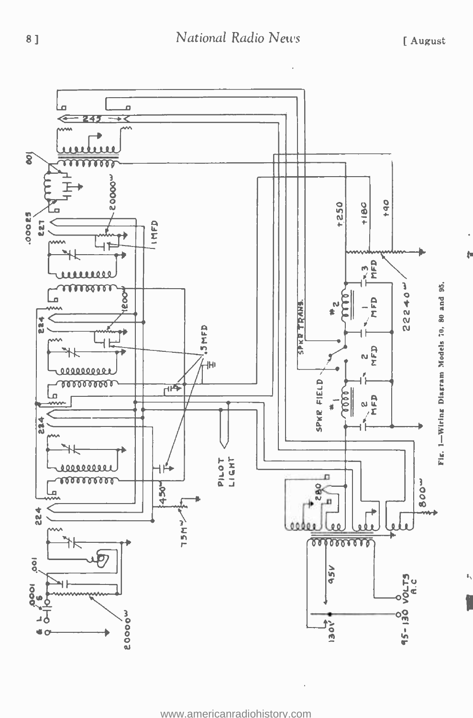ţ.

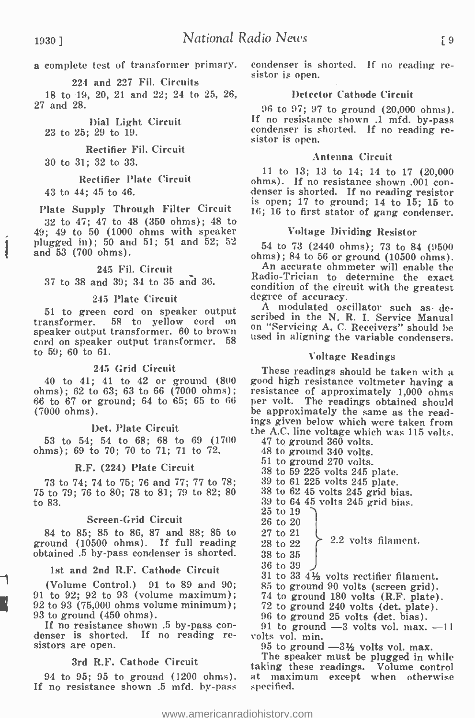a complete test of transformer primary. condenser is s<br>sistor is open.

224 and 227 Fil. Circuits

18 to 19, 20, 21 and 22; 24 to 25, 27 and 28.

Dial Light Circuit 23 to 25; 29 to 19.

Rectifier Fil. Circuit

30 to 31; 32 to 33.

Rectifier Plate Circuit

43 to 44; 45 to 46.

Plate Supply Through Filter Circuit

32 to 47; 47 to 48 (350 ohms); 48 to 49; 49 to 50 (1000 ohms with speaker plugged in); 50 and 51; 51 and 52; <sup>52</sup> and 53 (700 ohms).

#### 245 Fil. Circuit

37 to 38 and 39; 34 to 35 and 36.

#### 245 Plate Circuit

<sup>51</sup>to green cord on speaker output transformer. 58 to yellow cord on speaker output transformer. 60 to brown cord on speaker output transformer. 58 to 59; 60 to 61.

#### 245 Grid Circuit

40 to 41; 41 to 42 or ground (800 ohms); 62 to 63; 63 to 66 (7000 ohms); 66 to 67 or ground; 64 to 65; 65 to 66 (7000 ohms).

#### Det. Plate Circuit

53 to 54; 54 to 68; 68 to 69 (1700 ohms); 69 to 70; 70 to 71; 71 to 72.

#### R.F. (224) Plate Circuit

73 to 74; 74 to 75; 76 and 77; 77 to 78; 75 to 79; 76 to 80; 78 to 81; 79 to 82; 80 to 83.

#### Screen -Grid Circuit

84 to 85; 85 to 86, 87 and 88; 85 to ground (10500 ohms). If full reading obtained .5 by -pass condenser is shorted.

#### 1st and 2nd R.F. Cathode Circuit

(Volume Control.) 91 to 89 and 90; 91 to 92; 92 to 93 (volume maximum); 92 to 93 (75,000 ohms volume minimum);

If no resistance shown .5 by-pass con-<br>denser is shorted. If no reading resistors are open.

#### 3rd R.F. Cathode Circuit

94 to 95; 95 to ground  $(1200 \text{ ohms})$ .<br>If no resistance shown .5 mfd. by-pass

condenser is shorted. If no reading re-

#### 26, Detector Cathode Circuit

<sup>96</sup>to 97; 97 to ground (20,000 ohms). If no resistance shown .1 mfd. by -pass condenser is shorted. If no reading resistor is open.

#### Antenna Circuit

<sup>11</sup>to 13; 13 to 14; 14 to 17 (20,000 ohms). If no resistance shown .001 con- denser is shorted. If no reading resistor is open;  $17$  to ground;  $14$  to  $15$ ;  $15$  to 16; 16 to first stator of gang condenser.

#### Voltage Dividing Resistor

<sup>54</sup>to 73 (2440 ohms); 73 to 84 (9500 ohms); 84 to 56 or ground (10500 ohms). An accurate ohmmeter will enable the

Radio -Trician to determine the exact condition of the circuit with the greatest degree of accuracy.

A modulated oscillator such as described in the N. R. I. Service Manual on "Servicing A. C. Receivers" should be used in aligning the variable condensers.

#### Voltage Readings

These readings should be taken with a good high resistance voltmeter having a resistance of approximately 1,000 ohms per volt. The readings obtained should be approximately the same as the readings given below which were taken from the A.C. line voltage which was 115 volts.

47 to ground 360 volts.

48 to ground 340 volts.

51 to ground 270 volts.

38 to 59 225 volts 245 plate.

 $38$  to  $62$   $45$  volts  $245$  grid bias.

39 to 64 45 volts 245 grid bias.

- 25 to 19
- 26 to 20
- 27 to 21
- 28 to 22 2.2 volts filament.
- 38 to 35
- 36 to 39

31 to 33 4% volts rectifier filament.

- 85 to ground 90 volts (screen grid).<br>74 to ground 180 volts (R.F. plate).
- 
- 72 to ground 240 volts (det. plate). 96 to ground 25 volts (det. bias).
- 

 $91$  to ground  $-3$  volts vol. max.  $-11$ volts vol. min.

 $95$  to ground  $-3\frac{1}{2}$  volts vol. max.

The speaker must be plugged in while taking these readings. Volume control at maximum except when otherwise specified.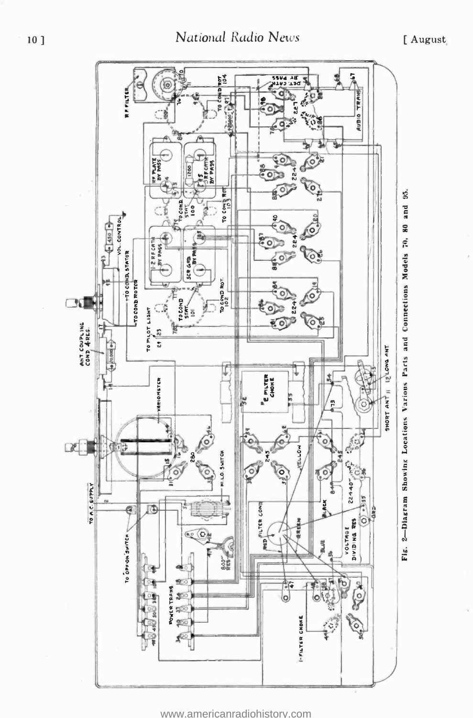

www.americanradiohistory.com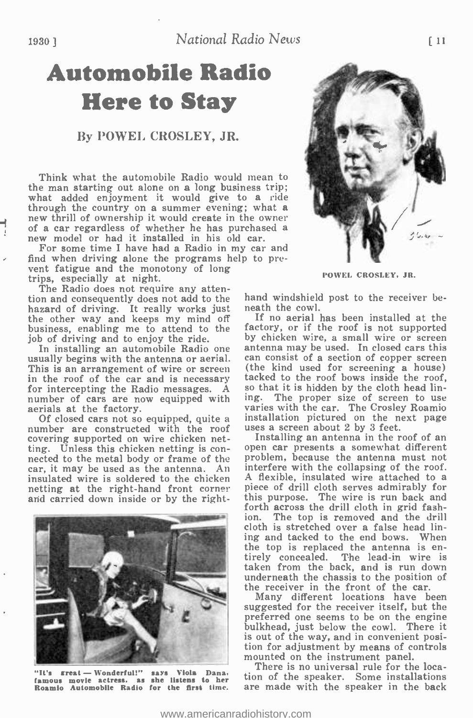# Automobile Radio Here to Stay

#### By DOWEL CROSLEY, JR.

Think what the automobile Radio would mean to the man starting out alone on a long business trip;<br>what added enjoyment it would give to a ride<br>through the country on a summer evening; what a new thrill of ownership it would create in the owner<br>of a car regardless of whether he has purchased a<br>new model or had it installed in his old car.

For some time I have had a Radio in my car and find when driving alone the programs help to pre-vent fatigue and the monotony of long trips, especially at night. The Radio does not require any atten-

The Radio does not require any attention and consequently does not add to the hazard of driving. It really works just the other way and keeps my mind off business, enabling me to attend to the job of driving and to enjoy the ride.

This is an arrangement of wire or screen (the kind used for screening a house)<br>in the roof of the car and is necessary tacked to the roof bows inside the roof, in the roof of the car and is necessary tacked to the roof bows inside the roof, for intercepting the Radio messages. A so that it is hidden by the cloth head linnumber of cars are now equipped with<br>aerials at the factory.

Of closed cars not so equipped, quite a installation pictured on the number are constructed with the roof uses a screen about 2 by 3 feet. covering supported on wire chicken netting. Unless this chicken netting is con-<br>nected to the metal body or frame of the problem, because the antenna must not car, it may be used as the antenna. An insulated wire is soldered to the chicken  $\overline{A}$  flexible, insulated wire attached to a netting at the right-hand front corney piece of drill cloth serves admirably for netting at the right-hand front corner and carried down inside or by the right-



Roamio Automobile Radio for the first time.



POWEL CROSLEY, JR.

hand windshield post to the receiver beneath the cowl.

In installing an automobile Radio one antenna may be used. In closed cars this usually begins with the antenna or aerial. can consist of a section of copper screen If no aerial has been installed at the factory, or if the roof is not supported by chicken wire, a small wire or screen (the kind used for screening a house) ing. The proper size of screen to use varies with the car. The Crosley Roamio installation pictured on the next page uses a screen about 2 by 3 feet.

Installing an antenna in the roof of an problem, because the antenna must not interfere with the collapsing of the roof. A flexible, insulated wire attached to a this purpose. The wire is run back and forth across the drill cloth in grid fashion. The top is removed and the drill cloth is stretched over a false head lining and tacked to the end bows. When<br>the top is replaced the antenna is entirely concealed. The lead-in wire is taken from the back, and is run down underneath the chassis to the position of the receiver in the front of the car.

Many different locations have been suggested for the receiver itself, but the preferred one seems to be on the engine bulkhead, just below the cowl. There it is out of the way, and in convenient position for adjustment by means of controls

It's great - Wonderful!" says Viola Dana, There is no universal rule for the famous movie actress, as she listens to her tion of the speaker. Some install There is no universal rule for the location of the speaker. Some installations are made with the speaker in the back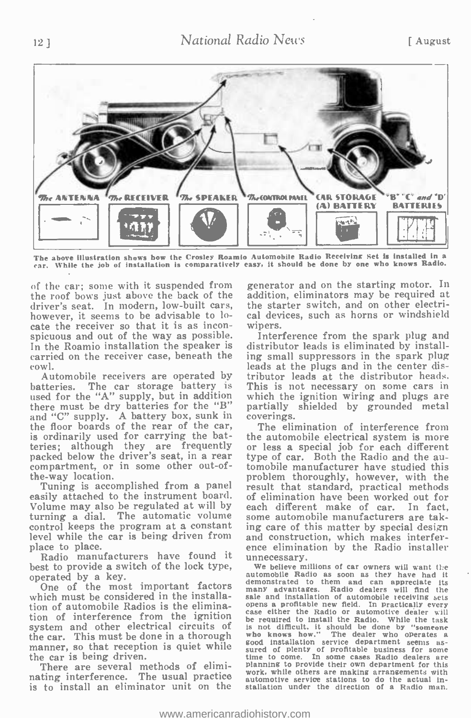

The above illustration shows how the Crosley Roamio Automobile Radio Receiving Set is installed in a car. While the job of installation is comparatively easy. It should be done by one who knows Radio.

of the car; some with it suspended from the roof bows just above the back of the driver's seat. In modern, low -built cars, however, it seems to be advisable to locate the receiver so that it is as inconspicuous and out of the way as possible. In the Roamio installation the speaker is distributor leads is eliminated by install-<br>carried on the receiver case, beneath the  $\frac{1}{2}$  ing small suppressors in the spark plug carried on the receiver case, beneath the cowl.

Automobile receivers are operated by batteries. The car storage battery is used for the "A" supply, but in addition there must be dry batteries for the "B" and "C" supply. A battery box, sunk in the floor boards of the rear of the car, is ordinarily used for carrying the batteries; although they are frequently packed below the driver's seat, in a rear compartment, or in some other out-ofthe -way location.

Tuning is accomplished from a panel easily attached to the instrument board. Volume may also be regulated at will by ea turning a dial. The automatic volume control keeps the program at a constant control keeps the program at a constant ing care of this matter by special design<br>level while the car is being driven from and construction, which makes interferplace to place.

Radio manufacturers have found it best to provide a switch of the lock type, operated by a key.

One of the most important factors nany advantages. which must be considered in the installation of automobile Radios is the elimination of automobile Radios is the elimina-<br>tion of interference from the ignition<br>be required to install the Radio While the test system and other electrical circuits of the car. This must be done in a thorough who knows how." The dealer who operates a manner, so that reception is quiet while the car is being driven.

There are several methods of eliminating interference. The usual practice is to install an eliminator unit on the generator and on the starting motor. In addition, eliminators may be required at the starter switch, and on other electrical devices, such as horns or windshield

Interference from the spark plug and distributor leads is eliminated by installleads at the plugs and in the center distributor leads at the distributor heads. This is not necessary on some cars in which the ignition wiring and plugs are partially shielded by grounded metal coverings.

The elimination of interference from the automobile electrical system is more or less a special job for each different type of car. Both the Radio and the automobile manufacturer have studied this problem thoroughly, however, with the result that standard, practical methods of elimination have been worked out for each different make of car. In fact,<br>some automobile manufacturers are takence elimination by the Radio installer unnecessary.

We believe millions of car owners will want the automobile Radio as soon as they have had it demonstrated to them and can appreciate its Radio dealers will find the sale and installation of automobile receiving sets case either the Radio or automotive dealer will be required to install the Radio. While the task is not difficult, it should be done by "someone who knows how." The dealer who operates a good installation service department seems assured of plenty of profitable business for some cases Radio dealers are planning to provide their own department for this work, while others are making arrangements with automotive service stations to do the actual installation under the direction of a Radio man.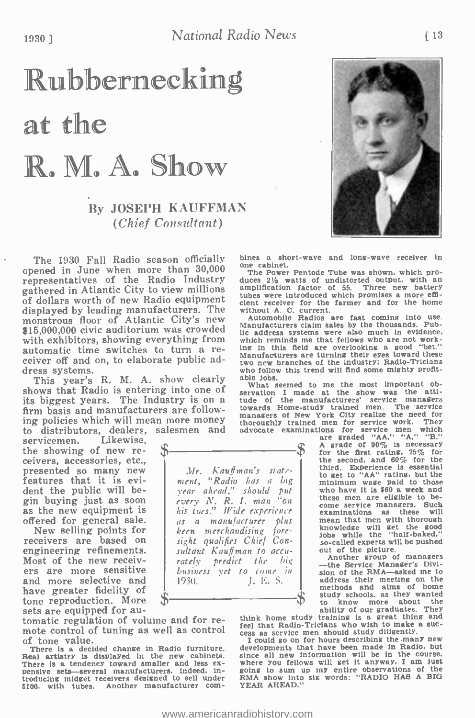# Rubbernecking at the R. M. A. Show

## By JOSEPH KAUFFMAN (Chief Consultant)

The 1930 Fall Radio season officially bines a short. opened in June when more than 30,000 The Power Pentode Tube was shown, which prorepresentatives of the Radio Industry gathered in Atlantic City to view millions amplification factor of 55. Three new battery of dollars worth of new Radio equipment displayed by leading manufacturers. The monstrous floor of Atlantic City's new \$15,000,000 civic auditorium was crowded with exhibitors, showing everything from automatic time switches to turn a receiver off and on, to elaborate public ad-<br>dress systems.

This year's R. M. A. show clearly able jobs. shows that Radio is entering into one of its biggest years. The Industry is on a firm basis and manufacturers are following policies which will mean more money to distributors, dealers, salesmen and

servicemen. Likewise, <sub>o</sub> the showing of new receivers, accessories, etc., presented so many new features that it is evident the public will be-<br>gin buying just as soon as the new equipment is offered for general sale.

receivers are based on<br>engineering refinements.<br>Most of the new receivers are more sensitive and more selective and have greater fidelity of tone reproduction. More sets are equipped for au-

tomatic regulation of volume and for retomatic regulation of volume and for reduced that Radio-Tricians who wish to make a suc-<br>mote control of tuning as well as control sees as service men should study diligently. of tone value.

There is a decided change in Radio furniture. Real artistry is displayed in the new cabinets. There is a tendency toward smaller and less ex-<br>pensive sets—several manufacturers, indeed. introducing midget receivers designed to sell under FRMA show into<br>\$100, with tubes. Another manufacturer com-YEAR AHEAD.'



bines a short-wave and long-wave receiver in

duces  $2\frac{1}{2}$  watts of undistorted output, with an amplification factor of 55. Three new battery cient receiver for the farmer and for the home without A. C. current.

Automobile Radios are fast coming into use. Manufacturers claim sales by the thousands. Public address systems were also much in evidence. which reminds me that fellows who are not working in this field are overlooking a good "bet." manufacturers are the industry; Radio-Tricians who follow this trend will find some mighty profit-

able Jobs.<br>
what seemed to me the most important ob-<br>
servation I made at the show was the atti-<br>
tude of the manufacturers' service managers<br>
towards Home-study trained men. The service managers of New York City realize the need for thoroughly trained men for service work. They<br>
advocate examinations for service men which<br>
are graded "AA," "A," "B,"<br>  $\bullet$  A grade of 90% is necessary<br>  $\bullet$  for the first rating, 75% for

ered for general sale. | as a manufacturer plus<br>New selling points for | keen merchandising fore-Mr. Kauffman's statement, "Radio has a big year ahead," should put every N. R. I. man "on  $\parallel$ his toes." Wide experience |<br>as a manufacturer plus | keen merchandising foresight qualifies Chief Consultant Kauffman to accu- rately predict the big business vet to come in 1. E. S.

for the first rating,  $75\%$  for<br>the second, and  $60\%$  for the third. Experience is essential to get to "AA" rating, but the minimum wage paid to those who have it is \$60 a week and<br>these men are eligible to become service managers. Such examinations as these will examinations as these will mean that men with thorough knowledge will get the good jobs while the "half-baked,"

so-called experts will be pushed<br>out of the picture.<br>-- the Service Manager's Divi-<br>-- the Service Manager's Divi-<br>sion of the RMA-asked me to address their meeting on the methods and aims of home study schools, as they wanted to know more about the ability of our graduates. They

think home study training is a great thing and feel that Radio- Tricians who wish to make a suc- cess as service men should study diligently.

I could go on for hours describing the many new developments that have been made in Radio. but since all new information will be in the course.<br>where you fellows will get it anyway, I am just<br>going to sum up my entire observations of the<br>RMA show into six words: "RADIO HAS A BIG<br>YEAR AHEAD."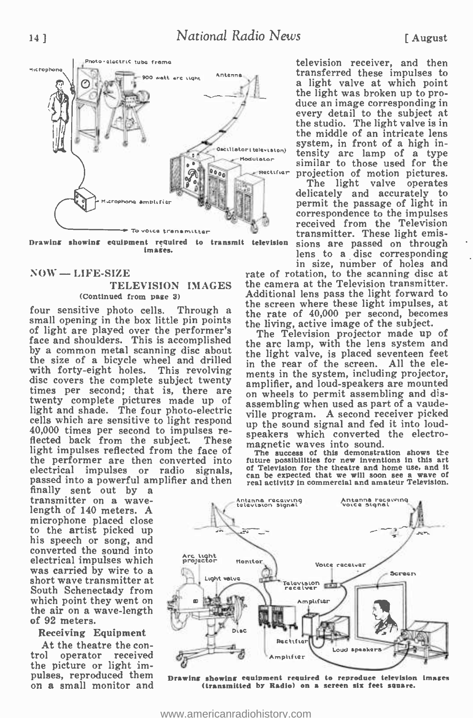

Drawing showing equipment required to transmit television images.

#### $NOW = LIFE-SIZE$

#### TELEVISION IMAGES (Continued from page 3)

four sensitive photo cells. Through a small opening in the box little pin points of light are played over the performer's face and shoulders. This is accomplished by a common metal scanning disc about the size of a bicycle wheel and drilled<br>with forty-eight holes. This revolving with forty-eight holes. This revolving ments in the system, including projector, disc covers the complete subject twenty amplifier, and loud-speakers are mounted times per second; that is, there are an whools to pormit as twenty complete pictures made up of ass light and shade. The four photo-electric will cells which are sensitive to light respond 40,000 times per second to impulses reflected back from the subject. light impulses reflected from the face of the performer are then converted into electrical impulses or radio signals, passed into a powerful amplifier and then

transmitter on a wave-<br>length of 140 meters. A microphone placed close<br>to the artist picked up to the artist picked up his speech or song, and converted the sound into electrical impulses which was carried by wire to a short wave transmitter at South Schenectady from which point they went on<br>the air on a wave-length<br>of 92 meters.

#### Receiving Equipment

At the theatre the con-<br>trol operator received the picture or light impulses, reproduced them on a small monitor and television receiver, and then transferred these impulses to a light valve at which point the light was broken up to pro-<br>duce an image corresponding in every detail to the subject at the studio. The light valve is in the middle of an intricate lens system, in front of a high intensity arc lamp of a type similar to those used for the

projection of motion pictures. The light valve operates delicately and accurately to permit the passage of light in received from the Television transmitter. These light emissions are passed on through lens to a disc corresponding in size, number of holes and

rate of rotation, to the scanning disc at the camera at the Television transmitter. Additional lens pass the light forward to the screen where these light impulses, at the rate of 40,000 per second, becomes the living, active image of the subject.

The Television projector made up of the arc lamp, with the lens system and the light valve, is placed seventeen feet in the rear of the screen. All the eleon wheels to permit assembling and disassembling when used as part of a vaudeville program. A second receiver picked up the sound signal and fed it into loudspeakers which converted the electromagnetic waves into sound.

The success of this demonstration shows the future possibilities for new inventions in this art of Television for the theatre and home use, and it can be expected that we will soon see a wave of real activity in commercial and amateur Television.



Drawing showing equipment required to reproduce television imagea (transmitted hr Radio) on a screen six feet square.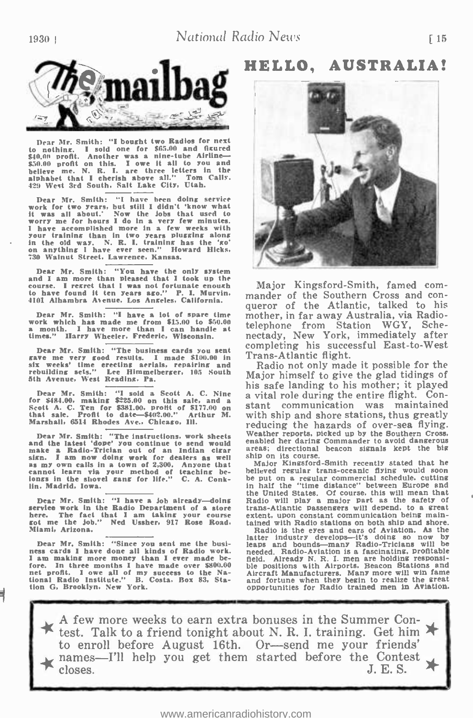1930 I National Radio News



Dear Mr. Smith: "I bought two Radios for next<br>to nothing. I sold one for \$65.00 and figured<br>\$40.00 profit. Another was a nine-tube Airline \$50.00 profit on this. I owe it all to you and believe me. N. R. I. are three letters in the alphabet that I cherish above all." Tom Cally. 429 West 3rd South. Salt Lake City, Utah.

Dear Mr. Smith: "I have been doing service work for two years, but still I didn't 'know what it was all about.' Now the Jobs that used to worry me for hours I do in a few minutes.<br>worry me for hours I do in a few weeks with<br>I have accomplished more in a few weeks with your training than in two years plugging along<br>in the old way. N. R. I. training has the 'go'<br>on anything I have ever seen.'' Howard Hicks.<br>730 Walnut Street. Lawrence, Kansas.

Dear Mr. Smith: "You have the only system<br>and I am more than pleased that I took up the<br>course. I resret that I was not fortunate enoush<br>to have found it ten rears ago." P. I. Murvin.<br>4101 Alhambra Avenue, Los Angeles, Cal

Dear Mr. Smith: "I have a lot of spare time mork which has made me from \$15.00 to \$50.00<br>a month. I have more than I can handle at the<br>times." Harry Wheeler. Frederic, Wisconsin. he

Dear Mr. Smith: "The business cards you sent gave me very good results. 1 made \$100.00 in six weeks' time erecting aerials, repairing and rebuilding sets." Lee Himmelberger. 105 South 5th Avenue. West Reading. Pa.

Dear Mr. Smith: "I sold a Scott A. C. Nine<br>for \$484.00, making \$225.00 on this sale, and a<br>Scott A. C. Ten for \$381.00, profit of \$177.00 on St<br>that sale. Profit to date—\$402.00." Arthur M. Warshall, 6514 Rhodes Ave., Chic

Dear Mr. Smith: "The instructions, work sheets W<br>and the latest 'dope' you continue to send would make a Radio-Trician out of an Indian circar art<br>sign. I am now doing work for dealers as well ship<br>as my own calls in a town of 2,300. Anyone that I<br>cannot learn via your method of teaching be-<br>longs in the shovel gang fo lin, Madrid, Iowa.

Dear Mr. Smith: "I have a job already—doing Radio will play a major part as the safety of service work in the Radio Department of a store trans-Atlantic passengers will depend, to a streat<br>here. The fact that I am taking y here. The fact that I am taking your course got me the Job." Ned Ussher, 917 Rose Road. Miami. Arizona.

Dear Mr. Smith: "Since you sent me the busi-<br>ness cards I have done all kinds of Radio work.<br>I am making more money than I ever made before. In three months I have made over \$800.00 is<br>net profit. I owe all of my success to the Na-<br>tional Radio Institute." B. Costa. Box 83, Sta- a tion G, Brooklyn. New York.

## HELLO, AUSTRALIA!



Major Kingsford- Smith, famed com- mander of the Southern Cross and con- queror of the Atlantic, talked to his mother, in far away Australia, via Radiotelephone from Station WGY, Schenectady, New York, immediately after completing his successful East-to-West Trans- Atlantic flight.

Radio not only made it possible for the Major himself to give the glad tidings of his safe landing to his mother; it played<br>a vital role during the entire flight. Constant communication was maintained<br>with ship and shore stations, thus greatly reducing the hazards of over-sea flying.<br>Weather reports, picked up by the Southern Cross, enabled her daring Commander to avoid dangerous

ship on its course.<br>- Major Kingsford-Smith recently stated that he<br>believed regular trans-oceanic flying would soon be put on a regular commercial schedule, cutting in half the "time distance" between Europe and the United States. Of course, this will mean that Radio will play a major part as the safety of trans-Atlantic passengers will depend, to a great tained with Radio stations on both ship and shore.

Radio is the eyes and ears of Aviation. As the latter industry develops—it's doing so now by leaps and bounds—many Radio-Tricians will be needed. Radio-Aviation is a fascinating, profitable<br>field. Already N. R. I. men are holding responsible<br>ble positions with Airports. Beacon Stations and<br>Aircraft Manufacturers. Many more will win fame<br>and fortune when they

A few more weeks to earn extra bonuses in the Summer Contest. Talk to a friend tonight about N. R. I. training. Get him to enroll before August 16th. Or-send me your friends'  $\star$  names—I'll help you get them started before the Contest<br>closes. J. E. S.